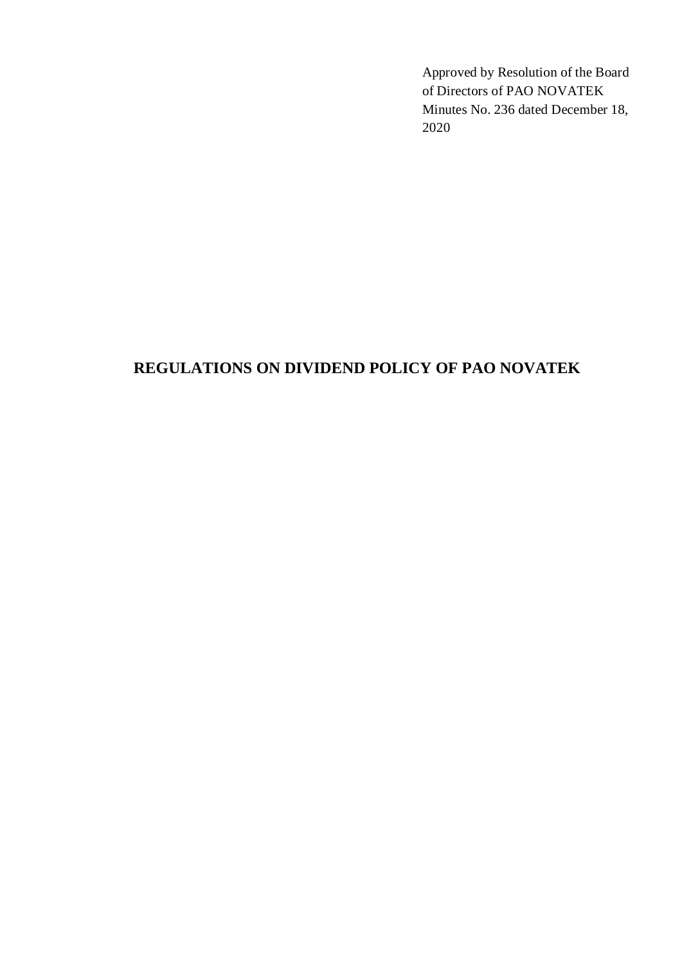Approved by Resolution of the Board of Directors of PAO NOVATEK Minutes No. 236 dated December 18, 2020

# **REGULATIONS ON DIVIDEND POLICY OF PAO NOVATEK**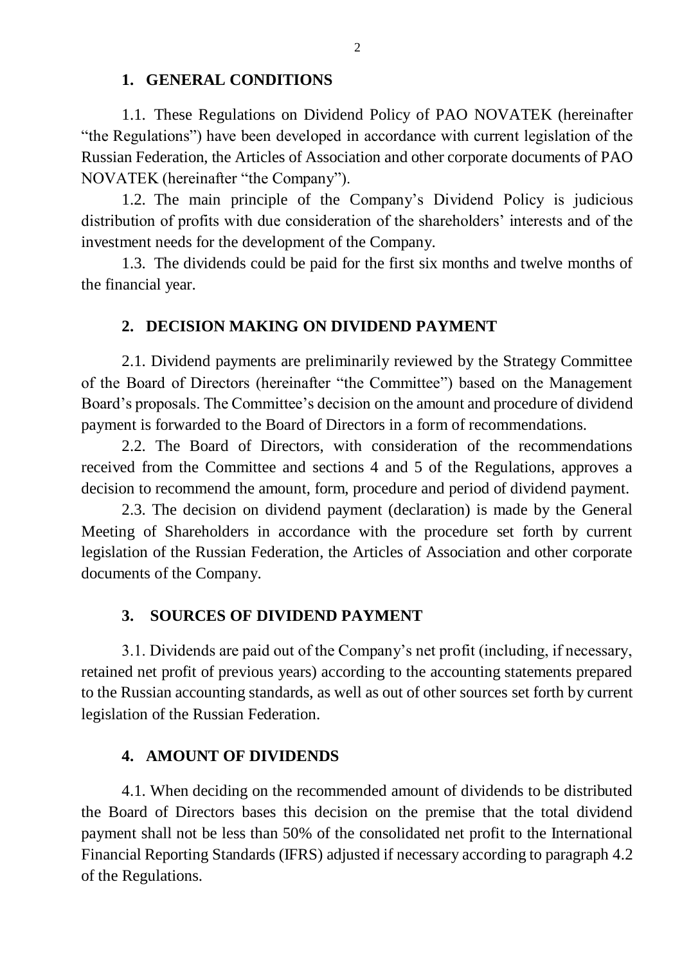#### **1. GENERAL CONDITIONS**

1.1. These Regulations on Dividend Policy of PAO NOVATEK (hereinafter "the Regulations") have been developed in accordance with current legislation of the Russian Federation, the Articles of Association and other corporate documents of PAO NOVATEK (hereinafter "the Company").

1.2. The main principle of the Company's Dividend Policy is judicious distribution of profits with due consideration of the shareholders' interests and of the investment needs for the development of the Company.

1.3. The dividends could be paid for the first six months and twelve months of the financial year.

#### **2. DECISION MAKING ON DIVIDEND PAYMENT**

2.1. Dividend payments are preliminarily reviewed by the Strategy Committee of the Board of Directors (hereinafter "the Committee") based on the Management Board's proposals. The Committee's decision on the amount and procedure of dividend payment is forwarded to the Board of Directors in a form of recommendations.

2.2. The Board of Directors, with consideration of the recommendations received from the Committee and sections 4 and 5 of the Regulations, approves a decision to recommend the amount, form, procedure and period of dividend payment.

2.3. The decision on dividend payment (declaration) is made by the General Meeting of Shareholders in accordance with the procedure set forth by current legislation of the Russian Federation, the Articles of Association and other corporate documents of the Company.

#### **3. SOURCES OF DIVIDEND PAYMENT**

3.1. Dividends are paid out of the Company's net profit (including, if necessary, retained net profit of previous years) according to the accounting statements prepared to the Russian accounting standards, as well as out of other sources set forth by current legislation of the Russian Federation.

#### **4. AMOUNT OF DIVIDENDS**

4.1. When deciding on the recommended amount of dividends to be distributed the Board of Directors bases this decision on the premise that the total dividend payment shall not be less than 50% of the consolidated net profit to the International Financial Reporting Standards (IFRS) adjusted if necessary according to paragraph 4.2 of the Regulations.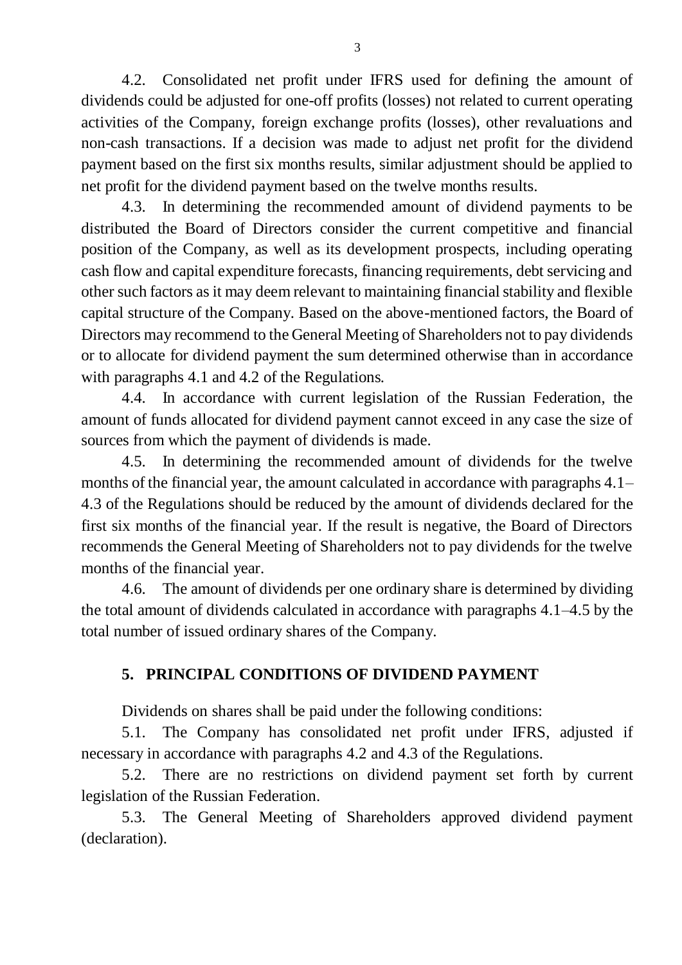4.2. Consolidated net profit under IFRS used for defining the amount of dividends could be adjusted for one-off profits (losses) not related to current operating activities of the Company, foreign exchange profits (losses), other revaluations and non-cash transactions. If a decision was made to adjust net profit for the dividend payment based on the first six months results, similar adjustment should be applied to net profit for the dividend payment based on the twelve months results.

4.3. In determining the recommended amount of dividend payments to be distributed the Board of Directors consider the current competitive and financial position of the Company, as well as its development prospects, including operating cash flow and capital expenditure forecasts, financing requirements, debt servicing and other such factors as it may deem relevant to maintaining financial stability and flexible capital structure of the Company. Based on the above-mentioned factors, the Board of Directors may recommend to the General Meeting of Shareholders not to pay dividends or to allocate for dividend payment the sum determined otherwise than in accordance with paragraphs 4.1 and 4.2 of the Regulations.

4.4. In accordance with current legislation of the Russian Federation, the amount of funds allocated for dividend payment cannot exceed in any case the size of sources from which the payment of dividends is made.

4.5. In determining the recommended amount of dividends for the twelve months of the financial year, the amount calculated in accordance with paragraphs 4.1– 4.3 of the Regulations should be reduced by the amount of dividends declared for the first six months of the financial year. If the result is negative, the Board of Directors recommends the General Meeting of Shareholders not to pay dividends for the twelve months of the financial year.

4.6. The amount of dividends per one ordinary share is determined by dividing the total amount of dividends calculated in accordance with paragraphs 4.1–4.5 by the total number of issued ordinary shares of the Company.

## **5. PRINCIPAL CONDITIONS OF DIVIDEND PAYMENT**

Dividends on shares shall be paid under the following conditions:

5.1. The Company has consolidated net profit under IFRS, adjusted if necessary in accordance with paragraphs 4.2 and 4.3 of the Regulations.

5.2. There are no restrictions on dividend payment set forth by current legislation of the Russian Federation.

5.3. The General Meeting of Shareholders approved dividend payment (declaration).